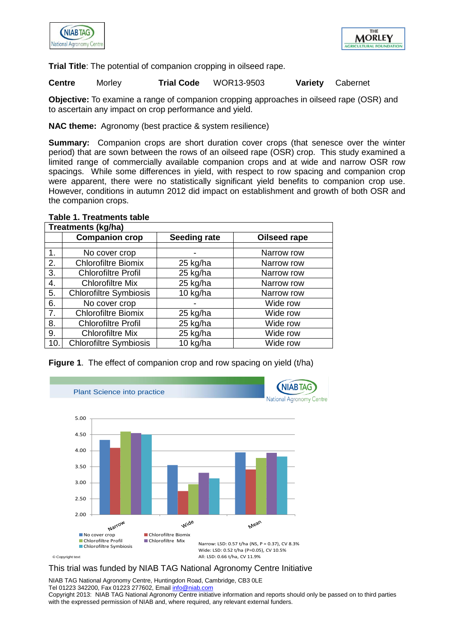



**Trial Title**: The potential of companion cropping in oilseed rape.

**Centre** Morley **Trial Code** WOR13-9503 **Variety** Cabernet

**Objective:** To examine a range of companion cropping approaches in oilseed rape (OSR) and to ascertain any impact on crop performance and yield.

**NAC theme:** Agronomy (best practice & system resilience)

**Summary:** Companion crops are short duration cover crops (that senesce over the winter period) that are sown between the rows of an oilseed rape (OSR) crop. This study examined a limited range of commercially available companion crops and at wide and narrow OSR row spacings. While some differences in yield, with respect to row spacing and companion crop were apparent, there were no statistically significant yield benefits to companion crop use. However, conditions in autumn 2012 did impact on establishment and growth of both OSR and the companion crops.

| Treatments (kg/ha) |                               |                     |              |  |  |  |
|--------------------|-------------------------------|---------------------|--------------|--|--|--|
|                    | <b>Companion crop</b>         | <b>Seeding rate</b> | Oilseed rape |  |  |  |
| 1.                 | No cover crop                 |                     | Narrow row   |  |  |  |
| 2.                 | <b>Chlorofiltre Biomix</b>    | 25 kg/ha            | Narrow row   |  |  |  |
| 3.                 | <b>Chlorofiltre Profil</b>    | 25 kg/ha            | Narrow row   |  |  |  |
| 4.                 | <b>Chlorofiltre Mix</b>       | 25 kg/ha            | Narrow row   |  |  |  |
| 5.                 | <b>Chlorofiltre Symbiosis</b> | 10 kg/ha            | Narrow row   |  |  |  |
| 6.                 | No cover crop                 |                     | Wide row     |  |  |  |
| 7.                 | <b>Chlorofiltre Biomix</b>    | 25 kg/ha            | Wide row     |  |  |  |
| 8.                 | <b>Chlorofiltre Profil</b>    | 25 kg/ha            | Wide row     |  |  |  |
| 9.                 | <b>Chlorofiltre Mix</b>       | 25 kg/ha            | Wide row     |  |  |  |
| 10                 | <b>Chlorofiltre Symbiosis</b> | 10 kg/ha            | Wide row     |  |  |  |

## **Table 1. Treatments table**

**Figure 1.** The effect of companion crop and row spacing on yield (t/ha)



© Copyright text

## This trial was funded by NIAB TAG National Agronomy Centre Initiative

NIAB TAG National Agronomy Centre, Huntingdon Road, Cambridge, CB3 0LE Tel 01223 342200, Fax 01223 277602, Email info@niab.com

Copyright 2013: NIAB TAG National Agronomy Centre initiative information and reports should only be passed on to third parties with the expressed permission of NIAB and, where required, any relevant external funders.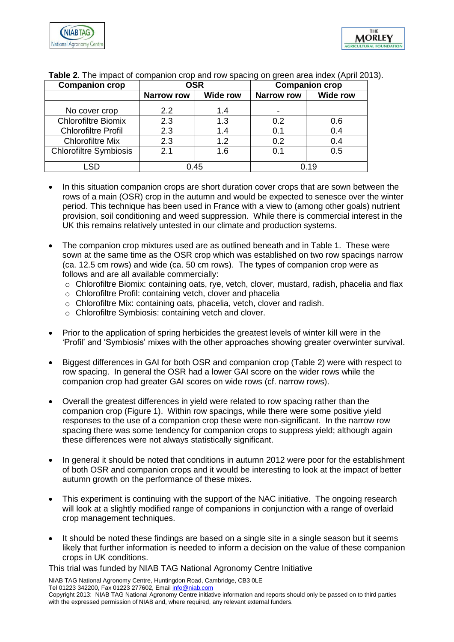

| <b>Companion crop</b>         | <b>OSR</b>        |                 | <b>Companion crop</b> |                 |
|-------------------------------|-------------------|-----------------|-----------------------|-----------------|
|                               | <b>Narrow row</b> | <b>Wide row</b> | <b>Narrow row</b>     | <b>Wide row</b> |
|                               |                   |                 |                       |                 |
| No cover crop                 | $2.2\phantom{0}$  | 1.4             |                       |                 |
| <b>Chlorofiltre Biomix</b>    | 2.3               | 1.3             | 0.2                   | 0.6             |
| <b>Chlorofiltre Profil</b>    | 2.3               | 1.4             | 0.1                   | 0.4             |
| <b>Chlorofiltre Mix</b>       | 2.3               | 1.2             | 0.2                   | 0.4             |
| <b>Chlorofiltre Symbiosis</b> | 2.1               | 1.6             | 0.1                   | 0.5             |
|                               |                   |                 |                       |                 |
| .SD                           | 0.45              |                 | 0.19                  |                 |

**Table 2**. The impact of companion crop and row spacing on green area index (April 2013).

- In this situation companion crops are short duration cover crops that are sown between the rows of a main (OSR) crop in the autumn and would be expected to senesce over the winter period. This technique has been used in France with a view to (among other goals) nutrient provision, soil conditioning and weed suppression. While there is commercial interest in the UK this remains relatively untested in our climate and production systems.
- The companion crop mixtures used are as outlined beneath and in Table 1. These were sown at the same time as the OSR crop which was established on two row spacings narrow (ca. 12.5 cm rows) and wide (ca. 50 cm rows). The types of companion crop were as follows and are all available commercially:
	- $\circ$  Chlorofiltre Biomix: containing oats, rye, vetch, clover, mustard, radish, phacelia and flax
	- o Chlorofiltre Profil: containing vetch, clover and phacelia
	- $\circ$  Chlorofiltre Mix: containing oats, phacelia, vetch, clover and radish.
	- o Chlorofiltre Symbiosis: containing vetch and clover.
- Prior to the application of spring herbicides the greatest levels of winter kill were in the 'Profil' and 'Symbiosis' mixes with the other approaches showing greater overwinter survival.
- Biggest differences in GAI for both OSR and companion crop (Table 2) were with respect to row spacing. In general the OSR had a lower GAI score on the wider rows while the companion crop had greater GAI scores on wide rows (cf. narrow rows).
- Overall the greatest differences in yield were related to row spacing rather than the companion crop (Figure 1). Within row spacings, while there were some positive yield responses to the use of a companion crop these were non-significant. In the narrow row spacing there was some tendency for companion crops to suppress yield; although again these differences were not always statistically significant.
- In general it should be noted that conditions in autumn 2012 were poor for the establishment of both OSR and companion crops and it would be interesting to look at the impact of better autumn growth on the performance of these mixes.
- This experiment is continuing with the support of the NAC initiative. The ongoing research will look at a slightly modified range of companions in conjunction with a range of overlaid crop management techniques.
- It should be noted these findings are based on a single site in a single season but it seems likely that further information is needed to inform a decision on the value of these companion crops in UK conditions.

This trial was funded by NIAB TAG National Agronomy Centre Initiative

NIAB TAG National Agronomy Centre, Huntingdon Road, Cambridge, CB3 0LE Tel 01223 342200, Fax 01223 277602, Email info@niab.com

Copyright 2013: NIAB TAG National Agronomy Centre initiative information and reports should only be passed on to third parties with the expressed permission of NIAB and, where required, any relevant external funders.